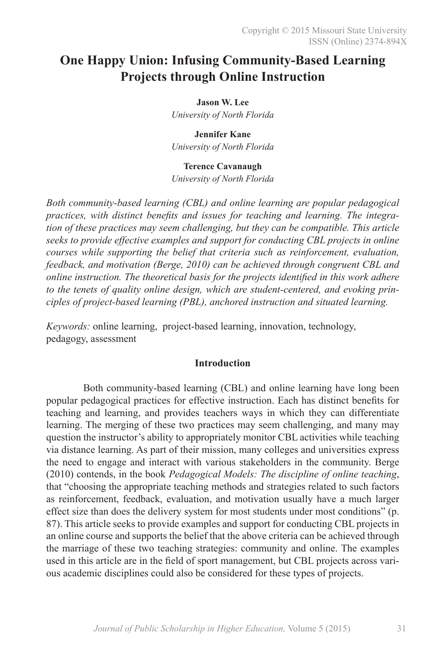# **One Happy Union: Infusing Community-Based Learning Projects through Online Instruction**

**Jason W. Lee** *University of North Florida*

**Jennifer Kane** *University of North Florida*

**Terence Cavanaugh** 

*University of North Florida*

*Both community-based learning (CBL) and online learning are popular pedagogical practices, with distinct benefits and issues for teaching and learning. The integration of these practices may seem challenging, but they can be compatible. This article seeks to provide effective examples and support for conducting CBL projects in online courses while supporting the belief that criteria such as reinforcement, evaluation, feedback, and motivation (Berge, 2010) can be achieved through congruent CBL and online instruction. The theoretical basis for the projects identified in this work adhere to the tenets of quality online design, which are student-centered, and evoking principles of project-based learning (PBL), anchored instruction and situated learning.*

*Keywords:* online learning, project-based learning, innovation, technology, pedagogy, assessment

### **Introduction**

Both community-based learning (CBL) and online learning have long been popular pedagogical practices for effective instruction. Each has distinct benefits for teaching and learning, and provides teachers ways in which they can differentiate learning. The merging of these two practices may seem challenging, and many may question the instructor's ability to appropriately monitor CBL activities while teaching via distance learning. As part of their mission, many colleges and universities express the need to engage and interact with various stakeholders in the community. Berge (2010) contends, in the book *Pedagogical Models: The discipline of online teaching*, that "choosing the appropriate teaching methods and strategies related to such factors as reinforcement, feedback, evaluation, and motivation usually have a much larger effect size than does the delivery system for most students under most conditions" (p. 87). This article seeks to provide examples and support for conducting CBL projects in an online course and supports the belief that the above criteria can be achieved through the marriage of these two teaching strategies: community and online. The examples used in this article are in the field of sport management, but CBL projects across various academic disciplines could also be considered for these types of projects.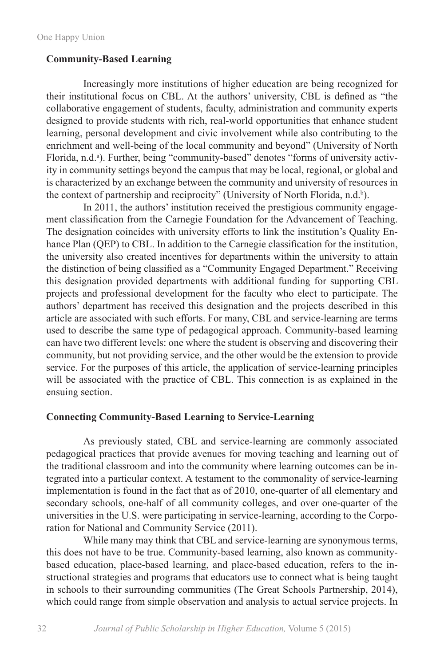### **Community-Based Learning**

Increasingly more institutions of higher education are being recognized for their institutional focus on CBL. At the authors' university, CBL is defined as "the collaborative engagement of students, faculty, administration and community experts designed to provide students with rich, real-world opportunities that enhance student learning, personal development and civic involvement while also contributing to the enrichment and well-being of the local community and beyond" (University of North Florida, n.d.<sup>a</sup>). Further, being "community-based" denotes "forms of university activity in community settings beyond the campus that may be local, regional, or global and is characterized by an exchange between the community and university of resources in the context of partnership and reciprocity" (University of North Florida, n.d.<sup>b</sup>).

In 2011, the authors' institution received the prestigious community engagement classification from the Carnegie Foundation for the Advancement of Teaching. The designation coincides with university efforts to link the institution's Quality Enhance Plan (QEP) to CBL. In addition to the Carnegie classification for the institution, the university also created incentives for departments within the university to attain the distinction of being classified as a "Community Engaged Department." Receiving this designation provided departments with additional funding for supporting CBL projects and professional development for the faculty who elect to participate. The authors' department has received this designation and the projects described in this article are associated with such efforts. For many, CBL and service-learning are terms used to describe the same type of pedagogical approach. Community-based learning can have two different levels: one where the student is observing and discovering their community, but not providing service, and the other would be the extension to provide service. For the purposes of this article, the application of service-learning principles will be associated with the practice of CBL. This connection is as explained in the ensuing section.

### **Connecting Community-Based Learning to Service-Learning**

As previously stated, CBL and service-learning are commonly associated pedagogical practices that provide avenues for moving teaching and learning out of the traditional classroom and into the community where learning outcomes can be integrated into a particular context. A testament to the commonality of service-learning implementation is found in the fact that as of 2010, one-quarter of all elementary and secondary schools, one-half of all community colleges, and over one-quarter of the universities in the U.S. were participating in service-learning, according to the Corporation for National and Community Service (2011).

While many may think that CBL and service-learning are synonymous terms, this does not have to be true. Community-based learning, also known as communitybased education, place-based learning, and place-based education, refers to the instructional strategies and programs that educators use to connect what is being taught in schools to their surrounding communities (The Great Schools Partnership, 2014), which could range from simple observation and analysis to actual service projects. In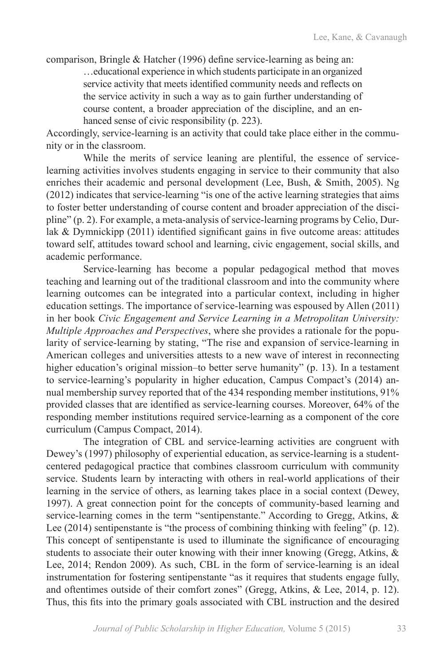comparison, Bringle & Hatcher (1996) define service-learning as being an:

…educational experience in which students participate in an organized service activity that meets identified community needs and reflects on the service activity in such a way as to gain further understanding of course content, a broader appreciation of the discipline, and an enhanced sense of civic responsibility (p. 223).

Accordingly, service-learning is an activity that could take place either in the community or in the classroom.

While the merits of service leaning are plentiful, the essence of servicelearning activities involves students engaging in service to their community that also enriches their academic and personal development (Lee, Bush, & Smith, 2005). Ng (2012) indicates that service-learning "is one of the active learning strategies that aims to foster better understanding of course content and broader appreciation of the discipline" (p. 2). For example, a meta-analysis of service-learning programs by Celio, Durlak & Dymnickipp (2011) identified significant gains in five outcome areas: attitudes toward self, attitudes toward school and learning, civic engagement, social skills, and academic performance.

Service-learning has become a popular pedagogical method that moves teaching and learning out of the traditional classroom and into the community where learning outcomes can be integrated into a particular context, including in higher education settings. The importance of service-learning was espoused by Allen (2011) in her book *Civic Engagement and Service Learning in a Metropolitan University: Multiple Approaches and Perspectives*, where she provides a rationale for the popularity of service-learning by stating, "The rise and expansion of service-learning in American colleges and universities attests to a new wave of interest in reconnecting higher education's original mission–to better serve humanity" (p. 13). In a testament to service-learning's popularity in higher education, Campus Compact's (2014) annual membership survey reported that of the 434 responding member institutions, 91% provided classes that are identified as service-learning courses. Moreover, 64% of the responding member institutions required service-learning as a component of the core curriculum (Campus Compact, 2014).

The integration of CBL and service-learning activities are congruent with Dewey's (1997) philosophy of experiential education, as service-learning is a studentcentered pedagogical practice that combines classroom curriculum with community service. Students learn by interacting with others in real-world applications of their learning in the service of others, as learning takes place in a social context (Dewey, 1997). A great connection point for the concepts of community-based learning and service-learning comes in the term "sentipenstante." According to Gregg, Atkins, & Lee (2014) sentipenstante is "the process of combining thinking with feeling" (p. 12). This concept of sentipenstante is used to illuminate the significance of encouraging students to associate their outer knowing with their inner knowing (Gregg, Atkins, & Lee, 2014; Rendon 2009). As such, CBL in the form of service-learning is an ideal instrumentation for fostering sentipenstante "as it requires that students engage fully, and oftentimes outside of their comfort zones" (Gregg, Atkins, & Lee, 2014, p. 12). Thus, this fits into the primary goals associated with CBL instruction and the desired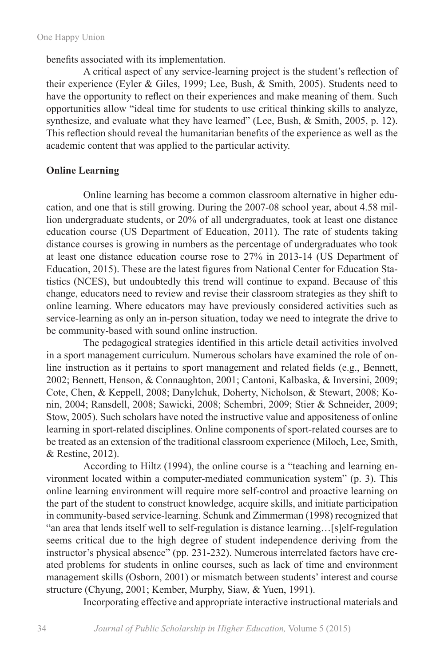benefits associated with its implementation.

A critical aspect of any service-learning project is the student's reflection of their experience (Eyler & Giles, 1999; Lee, Bush, & Smith, 2005). Students need to have the opportunity to reflect on their experiences and make meaning of them. Such opportunities allow "ideal time for students to use critical thinking skills to analyze, synthesize, and evaluate what they have learned" (Lee, Bush, & Smith, 2005, p. 12). This reflection should reveal the humanitarian benefits of the experience as well as the academic content that was applied to the particular activity.

### **Online Learning**

Online learning has become a common classroom alternative in higher education, and one that is still growing. During the 2007-08 school year, about 4.58 million undergraduate students, or 20% of all undergraduates, took at least one distance education course (US Department of Education, 2011). The rate of students taking distance courses is growing in numbers as the percentage of undergraduates who took at least one distance education course rose to 27% in 2013-14 (US Department of Education, 2015). These are the latest figures from National Center for Education Statistics (NCES), but undoubtedly this trend will continue to expand. Because of this change, educators need to review and revise their classroom strategies as they shift to online learning. Where educators may have previously considered activities such as service-learning as only an in-person situation, today we need to integrate the drive to be community-based with sound online instruction.

The pedagogical strategies identified in this article detail activities involved in a sport management curriculum. Numerous scholars have examined the role of online instruction as it pertains to sport management and related fields (e.g., Bennett, 2002; Bennett, Henson, & Connaughton, 2001; Cantoni, Kalbaska, & Inversini, 2009; Cote, Chen, & Keppell, 2008; Danylchuk, Doherty, Nicholson, & Stewart, 2008; Konin, 2004; Ransdell, 2008; Sawicki, 2008; Schembri, 2009; Stier & Schneider, 2009; Stow, 2005). Such scholars have noted the instructive value and appositeness of online learning in sport-related disciplines. Online components of sport-related courses are to be treated as an extension of the traditional classroom experience (Miloch, Lee, Smith, & Restine, 2012).

According to Hiltz (1994), the online course is a "teaching and learning environment located within a computer-mediated communication system" (p. 3). This online learning environment will require more self-control and proactive learning on the part of the student to construct knowledge, acquire skills, and initiate participation in community-based service-learning. Schunk and Zimmerman (1998) recognized that "an area that lends itself well to self-regulation is distance learning…[s]elf-regulation seems critical due to the high degree of student independence deriving from the instructor's physical absence" (pp. 231-232). Numerous interrelated factors have created problems for students in online courses, such as lack of time and environment management skills (Osborn, 2001) or mismatch between students' interest and course structure (Chyung, 2001; Kember, Murphy, Siaw, & Yuen, 1991).

Incorporating effective and appropriate interactive instructional materials and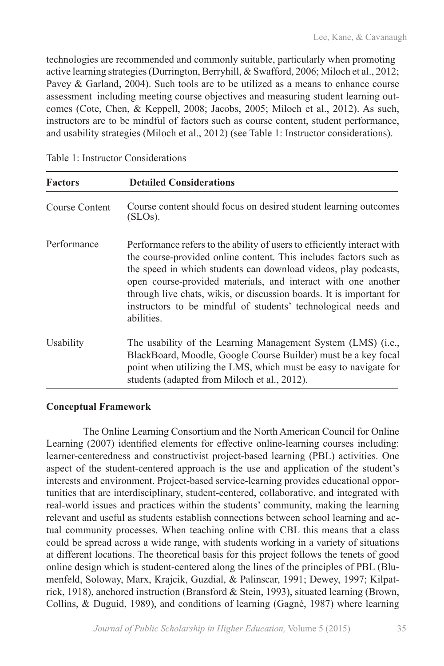technologies are recommended and commonly suitable, particularly when promoting active learning strategies (Durrington, Berryhill, & Swafford, 2006; Miloch et al., 2012; Pavey & Garland, 2004). Such tools are to be utilized as a means to enhance course assessment–including meeting course objectives and measuring student learning outcomes (Cote, Chen, & Keppell, 2008; Jacobs, 2005; Miloch et al., 2012). As such, instructors are to be mindful of factors such as course content, student performance, and usability strategies (Miloch et al., 2012) (see Table 1: Instructor considerations).

| <b>Factors</b> | <b>Detailed Considerations</b>                                                                                                                                                                                                                                                                                                                                                                                                           |
|----------------|------------------------------------------------------------------------------------------------------------------------------------------------------------------------------------------------------------------------------------------------------------------------------------------------------------------------------------------------------------------------------------------------------------------------------------------|
| Course Content | Course content should focus on desired student learning outcomes<br>(SLOS).                                                                                                                                                                                                                                                                                                                                                              |
| Performance    | Performance refers to the ability of users to efficiently interact with<br>the course-provided online content. This includes factors such as<br>the speed in which students can download videos, play podcasts,<br>open course-provided materials, and interact with one another<br>through live chats, wikis, or discussion boards. It is important for<br>instructors to be mindful of students' technological needs and<br>abilities. |
| Usability      | The usability of the Learning Management System (LMS) (i.e.,<br>BlackBoard, Moodle, Google Course Builder) must be a key focal<br>point when utilizing the LMS, which must be easy to navigate for<br>students (adapted from Miloch et al., 2012).                                                                                                                                                                                       |

Table 1: Instructor Considerations

# **Conceptual Framework**

The Online Learning Consortium and the North American Council for Online Learning (2007) identified elements for effective online-learning courses including: learner-centeredness and constructivist project-based learning (PBL) activities. One aspect of the student-centered approach is the use and application of the student's interests and environment. Project-based service-learning provides educational opportunities that are interdisciplinary, student-centered, collaborative, and integrated with real-world issues and practices within the students' community, making the learning relevant and useful as students establish connections between school learning and actual community processes. When teaching online with CBL this means that a class could be spread across a wide range, with students working in a variety of situations at different locations. The theoretical basis for this project follows the tenets of good online design which is student-centered along the lines of the principles of PBL (Blumenfeld, Soloway, Marx, Krajcik, Guzdial, & Palinscar, 1991; Dewey, 1997; Kilpatrick, 1918), anchored instruction (Bransford & Stein, 1993), situated learning (Brown, Collins, & Duguid, 1989), and conditions of learning (Gagné, 1987) where learning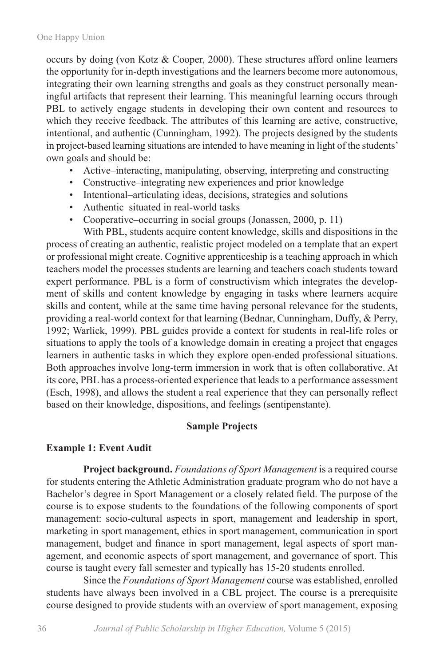occurs by doing (von Kotz & Cooper, 2000). These structures afford online learners the opportunity for in-depth investigations and the learners become more autonomous, integrating their own learning strengths and goals as they construct personally meaningful artifacts that represent their learning. This meaningful learning occurs through PBL to actively engage students in developing their own content and resources to which they receive feedback. The attributes of this learning are active, constructive, intentional, and authentic (Cunningham, 1992). The projects designed by the students in project-based learning situations are intended to have meaning in light of the students' own goals and should be:

- Active–interacting, manipulating, observing, interpreting and constructing
- Constructive–integrating new experiences and prior knowledge
- Intentional–articulating ideas, decisions, strategies and solutions
- Authentic–situated in real-world tasks
- Cooperative–occurring in social groups (Jonassen, 2000, p. 11)

With PBL, students acquire content knowledge, skills and dispositions in the process of creating an authentic, realistic project modeled on a template that an expert or professional might create. Cognitive apprenticeship is a teaching approach in which teachers model the processes students are learning and teachers coach students toward expert performance. PBL is a form of constructivism which integrates the development of skills and content knowledge by engaging in tasks where learners acquire skills and content, while at the same time having personal relevance for the students, providing a real-world context for that learning (Bednar, Cunningham, Duffy, & Perry, 1992; Warlick, 1999). PBL guides provide a context for students in real-life roles or situations to apply the tools of a knowledge domain in creating a project that engages learners in authentic tasks in which they explore open-ended professional situations. Both approaches involve long-term immersion in work that is often collaborative. At its core, PBL has a process-oriented experience that leads to a performance assessment (Esch, 1998), and allows the student a real experience that they can personally reflect based on their knowledge, dispositions, and feelings (sentipenstante).

# **Sample Projects**

# **Example 1: Event Audit**

**Project background.** *Foundations of Sport Management* is a required course for students entering the Athletic Administration graduate program who do not have a Bachelor's degree in Sport Management or a closely related field. The purpose of the course is to expose students to the foundations of the following components of sport management: socio-cultural aspects in sport, management and leadership in sport, marketing in sport management, ethics in sport management, communication in sport management, budget and finance in sport management, legal aspects of sport management, and economic aspects of sport management, and governance of sport. This course is taught every fall semester and typically has 15-20 students enrolled.

Since the *Foundations of Sport Management* course was established, enrolled students have always been involved in a CBL project. The course is a prerequisite course designed to provide students with an overview of sport management, exposing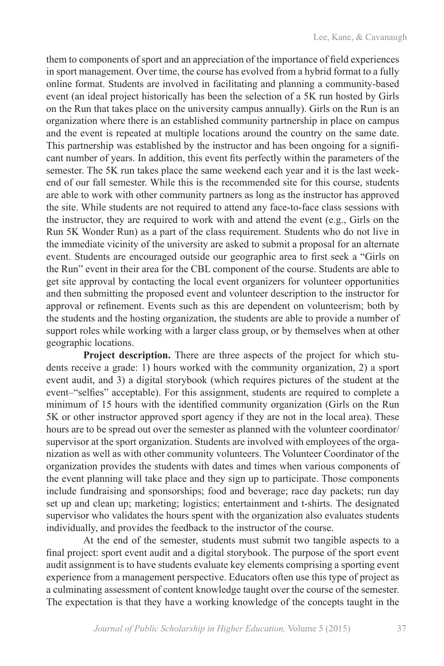them to components of sport and an appreciation of the importance of field experiences in sport management. Over time, the course has evolved from a hybrid format to a fully online format. Students are involved in facilitating and planning a community-based event (an ideal project historically has been the selection of a 5K run hosted by Girls on the Run that takes place on the university campus annually). Girls on the Run is an organization where there is an established community partnership in place on campus and the event is repeated at multiple locations around the country on the same date. This partnership was established by the instructor and has been ongoing for a significant number of years. In addition, this event fits perfectly within the parameters of the semester. The 5K run takes place the same weekend each year and it is the last weekend of our fall semester. While this is the recommended site for this course, students are able to work with other community partners as long as the instructor has approved the site. While students are not required to attend any face-to-face class sessions with the instructor, they are required to work with and attend the event (e.g., Girls on the Run 5K Wonder Run) as a part of the class requirement. Students who do not live in the immediate vicinity of the university are asked to submit a proposal for an alternate event. Students are encouraged outside our geographic area to first seek a "Girls on the Run" event in their area for the CBL component of the course. Students are able to get site approval by contacting the local event organizers for volunteer opportunities and then submitting the proposed event and volunteer description to the instructor for approval or refinement. Events such as this are dependent on volunteerism; both by the students and the hosting organization, the students are able to provide a number of support roles while working with a larger class group, or by themselves when at other geographic locations.

Project description. There are three aspects of the project for which students receive a grade: 1) hours worked with the community organization, 2) a sport event audit, and 3) a digital storybook (which requires pictures of the student at the event–"selfies" acceptable). For this assignment, students are required to complete a minimum of 15 hours with the identified community organization (Girls on the Run 5K or other instructor approved sport agency if they are not in the local area). These hours are to be spread out over the semester as planned with the volunteer coordinator/ supervisor at the sport organization. Students are involved with employees of the organization as well as with other community volunteers. The Volunteer Coordinator of the organization provides the students with dates and times when various components of the event planning will take place and they sign up to participate. Those components include fundraising and sponsorships; food and beverage; race day packets; run day set up and clean up; marketing; logistics; entertainment and t-shirts. The designated supervisor who validates the hours spent with the organization also evaluates students individually, and provides the feedback to the instructor of the course.

At the end of the semester, students must submit two tangible aspects to a final project: sport event audit and a digital storybook. The purpose of the sport event audit assignment is to have students evaluate key elements comprising a sporting event experience from a management perspective. Educators often use this type of project as a culminating assessment of content knowledge taught over the course of the semester. The expectation is that they have a working knowledge of the concepts taught in the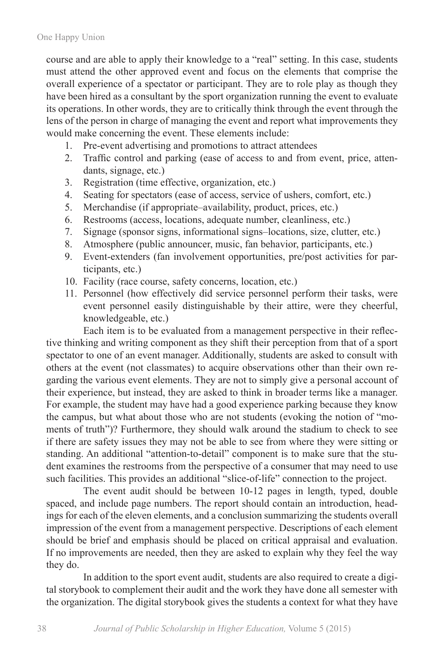course and are able to apply their knowledge to a "real" setting. In this case, students must attend the other approved event and focus on the elements that comprise the overall experience of a spectator or participant. They are to role play as though they have been hired as a consultant by the sport organization running the event to evaluate its operations. In other words, they are to critically think through the event through the lens of the person in charge of managing the event and report what improvements they would make concerning the event. These elements include:

- 1. Pre-event advertising and promotions to attract attendees
- 2. Traffic control and parking (ease of access to and from event, price, attendants, signage, etc.)
- 3. Registration (time effective, organization, etc.)
- 4. Seating for spectators (ease of access, service of ushers, comfort, etc.)
- 5. Merchandise (if appropriate–availability, product, prices, etc.)
- 6. Restrooms (access, locations, adequate number, cleanliness, etc.)
- 7. Signage (sponsor signs, informational signs–locations, size, clutter, etc.)
- 8. Atmosphere (public announcer, music, fan behavior, participants, etc.)
- 9. Event-extenders (fan involvement opportunities, pre/post activities for participants, etc.)
- 10. Facility (race course, safety concerns, location, etc.)
- 11. Personnel (how effectively did service personnel perform their tasks, were event personnel easily distinguishable by their attire, were they cheerful, knowledgeable, etc.)

Each item is to be evaluated from a management perspective in their reflective thinking and writing component as they shift their perception from that of a sport spectator to one of an event manager. Additionally, students are asked to consult with others at the event (not classmates) to acquire observations other than their own regarding the various event elements. They are not to simply give a personal account of their experience, but instead, they are asked to think in broader terms like a manager. For example, the student may have had a good experience parking because they know the campus, but what about those who are not students (evoking the notion of "moments of truth")? Furthermore, they should walk around the stadium to check to see if there are safety issues they may not be able to see from where they were sitting or standing. An additional "attention-to-detail" component is to make sure that the student examines the restrooms from the perspective of a consumer that may need to use such facilities. This provides an additional "slice-of-life" connection to the project.

The event audit should be between 10-12 pages in length, typed, double spaced, and include page numbers. The report should contain an introduction, headings for each of the eleven elements, and a conclusion summarizing the students overall impression of the event from a management perspective. Descriptions of each element should be brief and emphasis should be placed on critical appraisal and evaluation. If no improvements are needed, then they are asked to explain why they feel the way they do.

In addition to the sport event audit, students are also required to create a digital storybook to complement their audit and the work they have done all semester with the organization. The digital storybook gives the students a context for what they have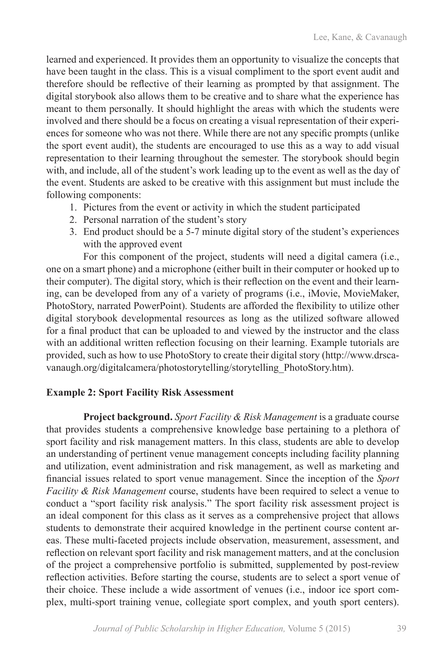learned and experienced. It provides them an opportunity to visualize the concepts that have been taught in the class. This is a visual compliment to the sport event audit and therefore should be reflective of their learning as prompted by that assignment. The digital storybook also allows them to be creative and to share what the experience has meant to them personally. It should highlight the areas with which the students were involved and there should be a focus on creating a visual representation of their experiences for someone who was not there. While there are not any specific prompts (unlike the sport event audit), the students are encouraged to use this as a way to add visual representation to their learning throughout the semester. The storybook should begin with, and include, all of the student's work leading up to the event as well as the day of the event. Students are asked to be creative with this assignment but must include the following components:

- 1. Pictures from the event or activity in which the student participated
- 2. Personal narration of the student's story
- 3. End product should be a 5-7 minute digital story of the student's experiences with the approved event

For this component of the project, students will need a digital camera (i.e., one on a smart phone) and a microphone (either built in their computer or hooked up to their computer). The digital story, which is their reflection on the event and their learning, can be developed from any of a variety of programs (i.e., iMovie, MovieMaker, PhotoStory, narrated PowerPoint). Students are afforded the flexibility to utilize other digital storybook developmental resources as long as the utilized software allowed for a final product that can be uploaded to and viewed by the instructor and the class with an additional written reflection focusing on their learning. Example tutorials are provided, such as how to use PhotoStory to create their digital story (http://www.drscavanaugh.org/digitalcamera/photostorytelling/storytelling\_PhotoStory.htm).

# **Example 2: Sport Facility Risk Assessment**

**Project background.** *Sport Facility & Risk Management* is a graduate course that provides students a comprehensive knowledge base pertaining to a plethora of sport facility and risk management matters. In this class, students are able to develop an understanding of pertinent venue management concepts including facility planning and utilization, event administration and risk management, as well as marketing and financial issues related to sport venue management. Since the inception of the *Sport Facility & Risk Management* course, students have been required to select a venue to conduct a "sport facility risk analysis." The sport facility risk assessment project is an ideal component for this class as it serves as a comprehensive project that allows students to demonstrate their acquired knowledge in the pertinent course content areas. These multi-faceted projects include observation, measurement, assessment, and reflection on relevant sport facility and risk management matters, and at the conclusion of the project a comprehensive portfolio is submitted, supplemented by post-review reflection activities. Before starting the course, students are to select a sport venue of their choice. These include a wide assortment of venues (i.e., indoor ice sport complex, multi-sport training venue, collegiate sport complex, and youth sport centers).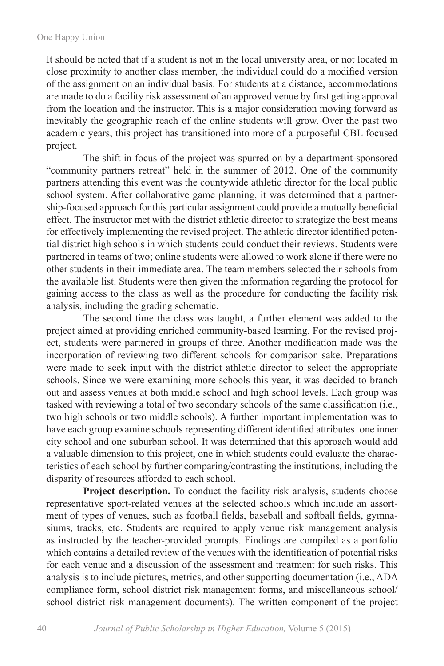It should be noted that if a student is not in the local university area, or not located in close proximity to another class member, the individual could do a modified version of the assignment on an individual basis. For students at a distance, accommodations are made to do a facility risk assessment of an approved venue by first getting approval from the location and the instructor. This is a major consideration moving forward as inevitably the geographic reach of the online students will grow. Over the past two academic years, this project has transitioned into more of a purposeful CBL focused project.

The shift in focus of the project was spurred on by a department-sponsored "community partners retreat" held in the summer of 2012. One of the community partners attending this event was the countywide athletic director for the local public school system. After collaborative game planning, it was determined that a partnership-focused approach for this particular assignment could provide a mutually beneficial effect. The instructor met with the district athletic director to strategize the best means for effectively implementing the revised project. The athletic director identified potential district high schools in which students could conduct their reviews. Students were partnered in teams of two; online students were allowed to work alone if there were no other students in their immediate area. The team members selected their schools from the available list. Students were then given the information regarding the protocol for gaining access to the class as well as the procedure for conducting the facility risk analysis, including the grading schematic.

The second time the class was taught, a further element was added to the project aimed at providing enriched community-based learning. For the revised project, students were partnered in groups of three. Another modification made was the incorporation of reviewing two different schools for comparison sake. Preparations were made to seek input with the district athletic director to select the appropriate schools. Since we were examining more schools this year, it was decided to branch out and assess venues at both middle school and high school levels. Each group was tasked with reviewing a total of two secondary schools of the same classification (i.e., two high schools or two middle schools). A further important implementation was to have each group examine schools representing different identified attributes–one inner city school and one suburban school. It was determined that this approach would add a valuable dimension to this project, one in which students could evaluate the characteristics of each school by further comparing/contrasting the institutions, including the disparity of resources afforded to each school.

**Project description.** To conduct the facility risk analysis, students choose representative sport-related venues at the selected schools which include an assortment of types of venues, such as football fields, baseball and softball fields, gymnasiums, tracks, etc. Students are required to apply venue risk management analysis as instructed by the teacher-provided prompts. Findings are compiled as a portfolio which contains a detailed review of the venues with the identification of potential risks for each venue and a discussion of the assessment and treatment for such risks. This analysis is to include pictures, metrics, and other supporting documentation (i.e., ADA compliance form, school district risk management forms, and miscellaneous school/ school district risk management documents). The written component of the project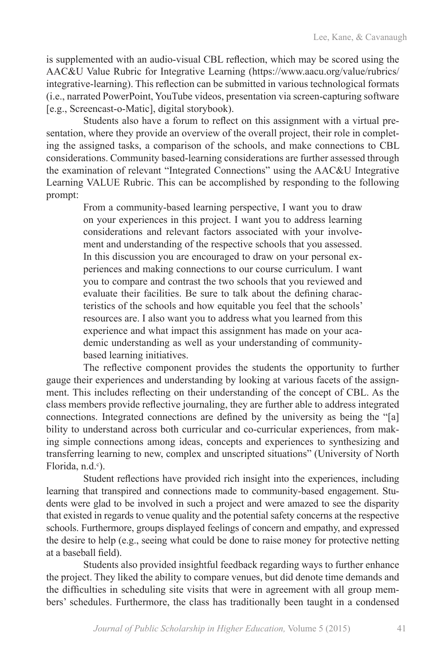is supplemented with an audio-visual CBL reflection, which may be scored using the AAC&U Value Rubric for Integrative Learning (https://www.aacu.org/value/rubrics/ integrative-learning). This reflection can be submitted in various technological formats (i.e., narrated PowerPoint, YouTube videos, presentation via screen-capturing software [e.g., Screencast-o-Matic], digital storybook).

Students also have a forum to reflect on this assignment with a virtual presentation, where they provide an overview of the overall project, their role in completing the assigned tasks, a comparison of the schools, and make connections to CBL considerations. Community based-learning considerations are further assessed through the examination of relevant "Integrated Connections" using the AAC&U Integrative Learning VALUE Rubric. This can be accomplished by responding to the following prompt:

> From a community-based learning perspective, I want you to draw on your experiences in this project. I want you to address learning considerations and relevant factors associated with your involvement and understanding of the respective schools that you assessed. In this discussion you are encouraged to draw on your personal experiences and making connections to our course curriculum. I want you to compare and contrast the two schools that you reviewed and evaluate their facilities. Be sure to talk about the defining characteristics of the schools and how equitable you feel that the schools' resources are. I also want you to address what you learned from this experience and what impact this assignment has made on your academic understanding as well as your understanding of communitybased learning initiatives.

The reflective component provides the students the opportunity to further gauge their experiences and understanding by looking at various facets of the assignment. This includes reflecting on their understanding of the concept of CBL. As the class members provide reflective journaling, they are further able to address integrated connections. Integrated connections are defined by the university as being the "[a] bility to understand across both curricular and co-curricular experiences, from making simple connections among ideas, concepts and experiences to synthesizing and transferring learning to new, complex and unscripted situations" (University of North Florida, n.d.<sup>c</sup>).

Student reflections have provided rich insight into the experiences, including learning that transpired and connections made to community-based engagement. Students were glad to be involved in such a project and were amazed to see the disparity that existed in regards to venue quality and the potential safety concerns at the respective schools. Furthermore, groups displayed feelings of concern and empathy, and expressed the desire to help (e.g., seeing what could be done to raise money for protective netting at a baseball field).

Students also provided insightful feedback regarding ways to further enhance the project. They liked the ability to compare venues, but did denote time demands and the difficulties in scheduling site visits that were in agreement with all group members' schedules. Furthermore, the class has traditionally been taught in a condensed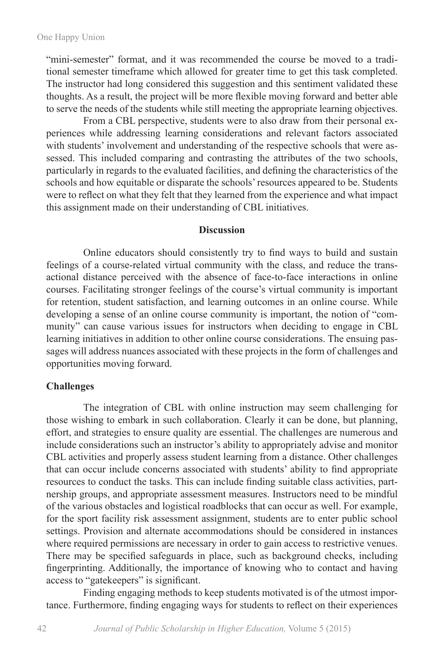"mini-semester" format, and it was recommended the course be moved to a traditional semester timeframe which allowed for greater time to get this task completed. The instructor had long considered this suggestion and this sentiment validated these thoughts. As a result, the project will be more flexible moving forward and better able to serve the needs of the students while still meeting the appropriate learning objectives.

From a CBL perspective, students were to also draw from their personal experiences while addressing learning considerations and relevant factors associated with students' involvement and understanding of the respective schools that were assessed. This included comparing and contrasting the attributes of the two schools, particularly in regards to the evaluated facilities, and defining the characteristics of the schools and how equitable or disparate the schools' resources appeared to be. Students were to reflect on what they felt that they learned from the experience and what impact this assignment made on their understanding of CBL initiatives.

#### **Discussion**

Online educators should consistently try to find ways to build and sustain feelings of a course-related virtual community with the class, and reduce the transactional distance perceived with the absence of face-to-face interactions in online courses. Facilitating stronger feelings of the course's virtual community is important for retention, student satisfaction, and learning outcomes in an online course. While developing a sense of an online course community is important, the notion of "community" can cause various issues for instructors when deciding to engage in CBL learning initiatives in addition to other online course considerations. The ensuing passages will address nuances associated with these projects in the form of challenges and opportunities moving forward.

#### **Challenges**

The integration of CBL with online instruction may seem challenging for those wishing to embark in such collaboration. Clearly it can be done, but planning, effort, and strategies to ensure quality are essential. The challenges are numerous and include considerations such an instructor's ability to appropriately advise and monitor CBL activities and properly assess student learning from a distance. Other challenges that can occur include concerns associated with students' ability to find appropriate resources to conduct the tasks. This can include finding suitable class activities, partnership groups, and appropriate assessment measures. Instructors need to be mindful of the various obstacles and logistical roadblocks that can occur as well. For example, for the sport facility risk assessment assignment, students are to enter public school settings. Provision and alternate accommodations should be considered in instances where required permissions are necessary in order to gain access to restrictive venues. There may be specified safeguards in place, such as background checks, including fingerprinting. Additionally, the importance of knowing who to contact and having access to "gatekeepers" is significant.

Finding engaging methods to keep students motivated is of the utmost importance. Furthermore, finding engaging ways for students to reflect on their experiences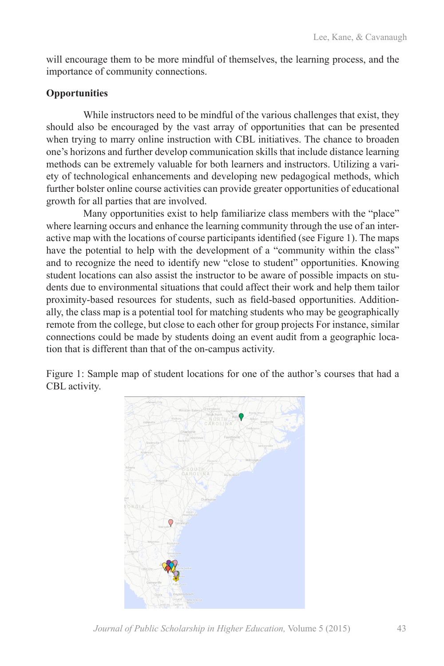will encourage them to be more mindful of themselves, the learning process, and the importance of community connections.

# **Opportunities**

While instructors need to be mindful of the various challenges that exist, they should also be encouraged by the vast array of opportunities that can be presented when trying to marry online instruction with CBL initiatives. The chance to broaden one's horizons and further develop communication skills that include distance learning methods can be extremely valuable for both learners and instructors. Utilizing a variety of technological enhancements and developing new pedagogical methods, which further bolster online course activities can provide greater opportunities of educational growth for all parties that are involved.

Many opportunities exist to help familiarize class members with the "place" where learning occurs and enhance the learning community through the use of an interactive map with the locations of course participants identified (see Figure 1). The maps have the potential to help with the development of a "community within the class" and to recognize the need to identify new "close to student" opportunities. Knowing student locations can also assist the instructor to be aware of possible impacts on students due to environmental situations that could affect their work and help them tailor proximity-based resources for students, such as field-based opportunities. Additionally, the class map is a potential tool for matching students who may be geographically remote from the college, but close to each other for group projects For instance, similar connections could be made by students doing an event audit from a geographic location that is different than that of the on-campus activity.

Figure 1: Sample map of student locations for one of the author's courses that had a CBL activity.



*Journal of Public Scholarship in Higher Education,* Volume 5 (2015) 43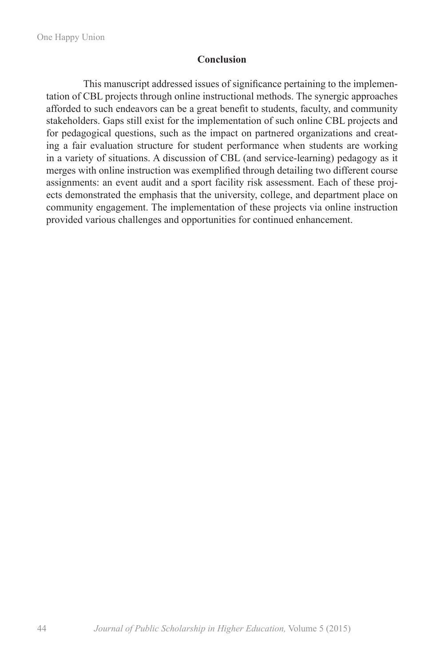### **Conclusion**

This manuscript addressed issues of significance pertaining to the implementation of CBL projects through online instructional methods. The synergic approaches afforded to such endeavors can be a great benefit to students, faculty, and community stakeholders. Gaps still exist for the implementation of such online CBL projects and for pedagogical questions, such as the impact on partnered organizations and creating a fair evaluation structure for student performance when students are working in a variety of situations. A discussion of CBL (and service-learning) pedagogy as it merges with online instruction was exemplified through detailing two different course assignments: an event audit and a sport facility risk assessment. Each of these projects demonstrated the emphasis that the university, college, and department place on community engagement. The implementation of these projects via online instruction provided various challenges and opportunities for continued enhancement.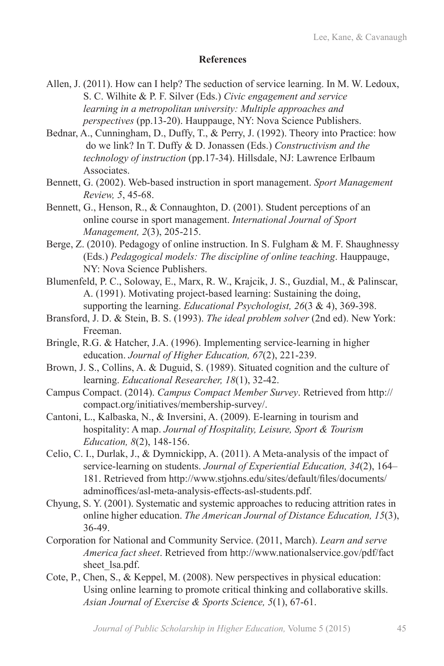# **References**

- Allen, J. (2011). How can I help? The seduction of service learning. In M. W. Ledoux, S. C. Wilhite & P. F. Silver (Eds.) *Civic engagement and service learning in a metropolitan university: Multiple approaches and perspectives* (pp.13-20). Hauppauge, NY: Nova Science Publishers.
- Bednar, A., Cunningham, D., Duffy, T., & Perry, J. (1992). Theory into Practice: how do we link? In T. Duffy & D. Jonassen (Eds.) *Constructivism and the technology of instruction* (pp.17-34). Hillsdale, NJ: Lawrence Erlbaum Associates.
- Bennett, G. (2002). Web-based instruction in sport management. *Sport Management Review, 5*, 45-68.
- Bennett, G., Henson, R., & Connaughton, D. (2001). Student perceptions of an online course in sport management. *International Journal of Sport Management, 2*(3), 205-215.
- Berge, Z. (2010). Pedagogy of online instruction. In S. Fulgham & M. F. Shaughnessy (Eds.) *Pedagogical models: The discipline of online teaching*. Hauppauge, NY: Nova Science Publishers.
- Blumenfeld, P. C., Soloway, E., Marx, R. W., Krajcik, J. S., Guzdial, M., & Palinscar, A. (1991). Motivating project-based learning: Sustaining the doing, supporting the learning. *Educational Psychologist, 26*(3 & 4), 369-398.
- Bransford, J. D. & Stein, B. S. (1993). *The ideal problem solver* (2nd ed). New York: Freeman.
- Bringle, R.G. & Hatcher, J.A. (1996). Implementing service-learning in higher education. *Journal of Higher Education, 67*(2), 221-239.
- Brown, J. S., Collins, A. & Duguid, S. (1989). Situated cognition and the culture of learning. *Educational Researcher, 18*(1), 32-42.
- Campus Compact. (2014). *Campus Compact Member Survey*. Retrieved from http:// compact.org/initiatives/membership-survey/.
- Cantoni, L., Kalbaska, N., & Inversini, A. (2009). E-learning in tourism and hospitality: A map. *Journal of Hospitality, Leisure, Sport & Tourism Education, 8*(2), 148-156.
- Celio, C. I., Durlak, J., & Dymnickipp, A. (2011). A Meta-analysis of the impact of service-learning on students. *Journal of Experiential Education, 34*(2), 164– 181. Retrieved from http://www.stjohns.edu/sites/default/files/documents/ adminoffices/asl-meta-analysis-effects-asl-students.pdf.
- Chyung, S. Y. (2001). Systematic and systemic approaches to reducing attrition rates in online higher education. *The American Journal of Distance Education, 15*(3), 36-49.
- Corporation for National and Community Service. (2011, March). *Learn and serve America fact sheet*. Retrieved from http://www.nationalservice.gov/pdf/fact sheet\_lsa.pdf.
- Cote, P., Chen, S., & Keppel, M. (2008). New perspectives in physical education: Using online learning to promote critical thinking and collaborative skills. *Asian Journal of Exercise & Sports Science, 5*(1), 67-61.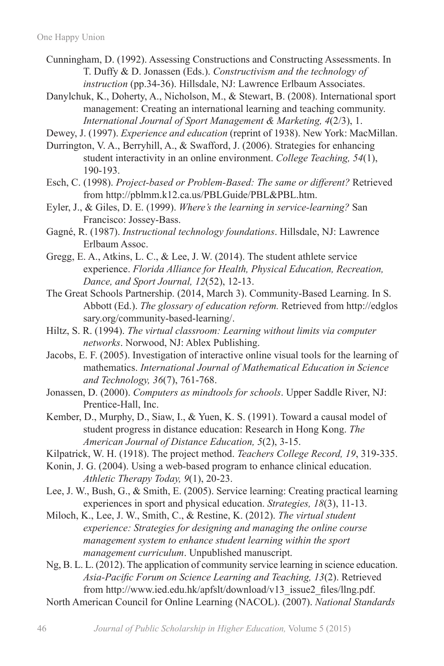- Cunningham, D. (1992). Assessing Constructions and Constructing Assessments. In T. Duffy & D. Jonassen (Eds.). *Constructivism and the technology of instruction* (pp.34-36). Hillsdale, NJ: Lawrence Erlbaum Associates.
- Danylchuk, K., Doherty, A., Nicholson, M., & Stewart, B. (2008). International sport management: Creating an international learning and teaching community. *International Journal of Sport Management & Marketing, 4*(2/3), 1.
- Dewey, J. (1997). *Experience and education* (reprint of 1938). New York: MacMillan.
- Durrington, V. A., Berryhill, A., & Swafford, J. (2006). Strategies for enhancing student interactivity in an online environment. *College Teaching, 54*(1), 190-193.
- Esch, C. (1998). *Project-based or Problem-Based: The same or different?* Retrieved from http://pblmm.k12.ca.us/PBLGuide/PBL&PBL.htm.
- Eyler, J., & Giles, D. E. (1999). *Where's the learning in service-learning?* San Francisco: Jossey-Bass.
- Gagné, R. (1987). *Instructional technology foundations*. Hillsdale, NJ: Lawrence Erlbaum Assoc.
- Gregg, E. A., Atkins, L. C., & Lee, J. W. (2014). The student athlete service experience. *Florida Alliance for Health, Physical Education, Recreation, Dance, and Sport Journal, 12*(52), 12-13.
- The Great Schools Partnership. (2014, March 3). Community-Based Learning. In S. Abbott (Ed.). *The glossary of education reform.* Retrieved from http://edglos sary.org/community-based-learning/.
- Hiltz, S. R. (1994). *The virtual classroom: Learning without limits via computer networks*. Norwood, NJ: Ablex Publishing.
- Jacobs, E. F. (2005). Investigation of interactive online visual tools for the learning of mathematics. *International Journal of Mathematical Education in Science and Technology, 36*(7), 761-768.
- Jonassen, D. (2000). *Computers as mindtools for schools*. Upper Saddle River, NJ: Prentice-Hall, Inc.
- Kember, D., Murphy, D., Siaw, I., & Yuen, K. S. (1991). Toward a causal model of student progress in distance education: Research in Hong Kong. *The American Journal of Distance Education, 5*(2), 3-15.
- Kilpatrick, W. H. (1918). The project method. *Teachers College Record, 19*, 319-335.
- Konin, J. G. (2004). Using a web-based program to enhance clinical education. *Athletic Therapy Today, 9*(1), 20-23.
- Lee, J. W., Bush, G., & Smith, E. (2005). Service learning: Creating practical learning experiences in sport and physical education. *Strategies, 18*(3), 11-13.
- Miloch, K., Lee, J. W., Smith, C., & Restine, K. (2012). *The virtual student experience: Strategies for designing and managing the online course management system to enhance student learning within the sport management curriculum*. Unpublished manuscript.
- Ng, B. L. L. (2012). The application of community service learning in science education. *Asia-Pacific Forum on Science Learning and Teaching, 13*(2). Retrieved from http://www.ied.edu.hk/apfslt/download/v13\_issue2\_files/llng.pdf.
- North American Council for Online Learning (NACOL). (2007). *National Standards*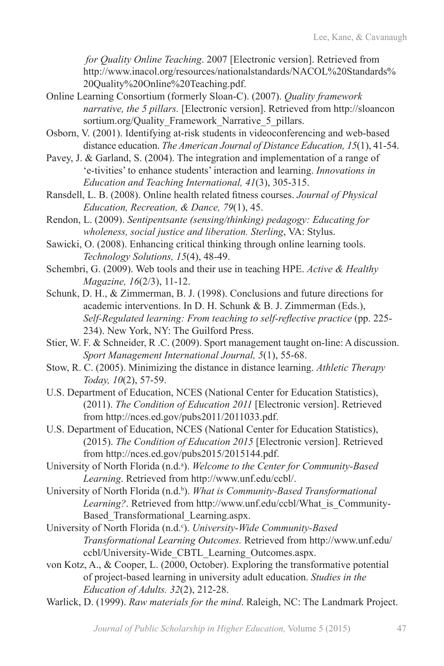*for Quality Online Teaching*. 2007 [Electronic version]. Retrieved from http://www.inacol.org/resources/nationalstandards/NACOL%20Standards% 20Quality%20Online%20Teaching.pdf.

- Online Learning Consortium (formerly Sloan-C). (2007). *Quality framework narrative, the 5 pillars.* [Electronic version]. Retrieved from http://sloancon sortium.org/Quality\_Framework\_Narrative\_5\_pillars.
- Osborn, V. (2001). Identifying at-risk students in videoconferencing and web-based distance education. *The American Journal of Distance Education, 15*(1), 41-54.
- Pavey, J. & Garland, S. (2004). The integration and implementation of a range of 'e-tivities' to enhance students' interaction and learning. *Innovations in Education and Teaching International, 41*(3), 305-315.
- Ransdell, L. B. (2008). Online health related fitness courses. *Journal of Physical Education, Recreation, & Dance, 79*(1), 45.
- Rendon, L. (2009). *Sentipentsante (sensing/thinking) pedagogy: Educating for wholeness, social justice and liberation. Sterling*, VA: Stylus.
- Sawicki, O. (2008). Enhancing critical thinking through online learning tools. *Technology Solutions, 15*(4), 48-49.
- Schembri, G. (2009). Web tools and their use in teaching HPE. *Active & Healthy Magazine, 16*(2/3), 11-12.
- Schunk, D. H., & Zimmerman, B. J. (1998). Conclusions and future directions for academic interventions. In D. H. Schunk & B. J. Zimmerman (Eds.), *Self-Regulated learning: From teaching to self-reflective practice* (pp. 225- 234). New York, NY: The Guilford Press.
- Stier, W. F. & Schneider, R .C. (2009). Sport management taught on-line: A discussion. *Sport Management International Journal, 5*(1), 55-68.
- Stow, R. C. (2005). Minimizing the distance in distance learning. *Athletic Therapy Today, 10*(2), 57-59.
- U.S. Department of Education, NCES (National Center for Education Statistics), (2011). *The Condition of Education 2011* [Electronic version]. Retrieved from http://nces.ed.gov/pubs2011/2011033.pdf.
- U.S. Department of Education, NCES (National Center for Education Statistics), (2015). *The Condition of Education 2015* [Electronic version]. Retrieved from http://nces.ed.gov/pubs2015/2015144.pdf.
- University of North Florida (n.d.<sup>a</sup>). *Welcome to the Center for Community-Based Learning*. Retrieved from http://www.unf.edu/ccbl/.
- University of North Florida (n.d.<sup>b</sup>). *What is Community-Based Transformational Learning?*. Retrieved from http://www.unf.edu/ccbl/What\_is\_Community-Based\_Transformational\_Learning.aspx.
- University of North Florida (n.d.<sup>c</sup>). *University-Wide Community-Based Transformational Learning Outcomes.* Retrieved from http://www.unf.edu/ ccbl/University-Wide\_CBTL\_Learning\_Outcomes.aspx.
- von Kotz, A., & Cooper, L. (2000, October). Exploring the transformative potential of project-based learning in university adult education. *Studies in the Education of Adults. 32*(2), 212-28.
- Warlick, D. (1999). *Raw materials for the mind*. Raleigh, NC: The Landmark Project.